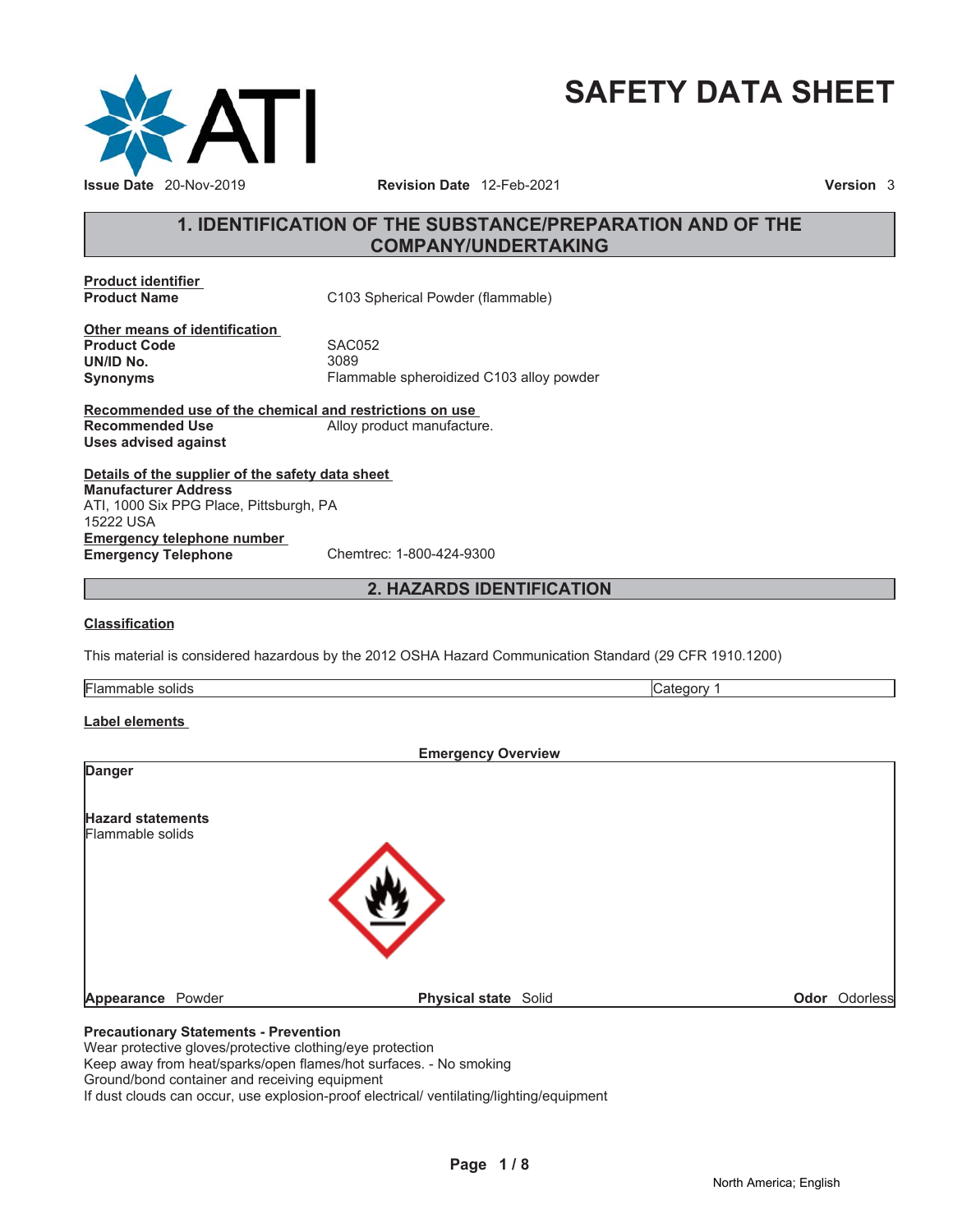

# **SAFETY DATA SHEET**

# **1. IDENTIFICATION OF THE SUBSTANCE/PREPARATION AND OF THE COMPANY/UNDERTAKING**

**Product identifier**

**C103 Spherical Powder (flammable)** 

**Other means of identification Product Code SAC052 UN/ID No.** 3089

**Synonyms** Flammable spheroidized C103 alloy powder

**Recommended use of the chemical and restrictions on use Recommended Use** Alloy product manufacture. **Uses advised against**

**Details of the supplier of the safety data sheet Emergency telephone number Emergency Telephone** Chemtrec: 1-800-424-9300 **Manufacturer Address** ATI, 1000 Six PPG Place, Pittsburgh, PA 15222 USA

**2. HAZARDS IDENTIFICATION**

#### **Classification**

This material is considered hazardous by the 2012 OSHA Hazard Communication Standard (29 CFR 1910.1200)

Flammable solids Category 1

#### **Label elements**

|                                              | <b>Emergency Overview</b>   |               |
|----------------------------------------------|-----------------------------|---------------|
| <b>Danger</b>                                |                             |               |
| <b>Hazard statements</b>                     |                             |               |
| Flammable solids                             |                             |               |
|                                              |                             |               |
|                                              |                             |               |
|                                              |                             |               |
|                                              |                             |               |
| <b>Appearance</b> Powder                     | <b>Physical state Solid</b> | Odor Odorless |
| <b>Precautionary Statements - Prevention</b> |                             |               |

Wear protective gloves/protective clothing/eye protection

Keep away from heat/sparks/open flames/hot surfaces. - No smoking

Ground/bond container and receiving equipment

If dust clouds can occur, use explosion-proof electrical/ ventilating/lighting/equipment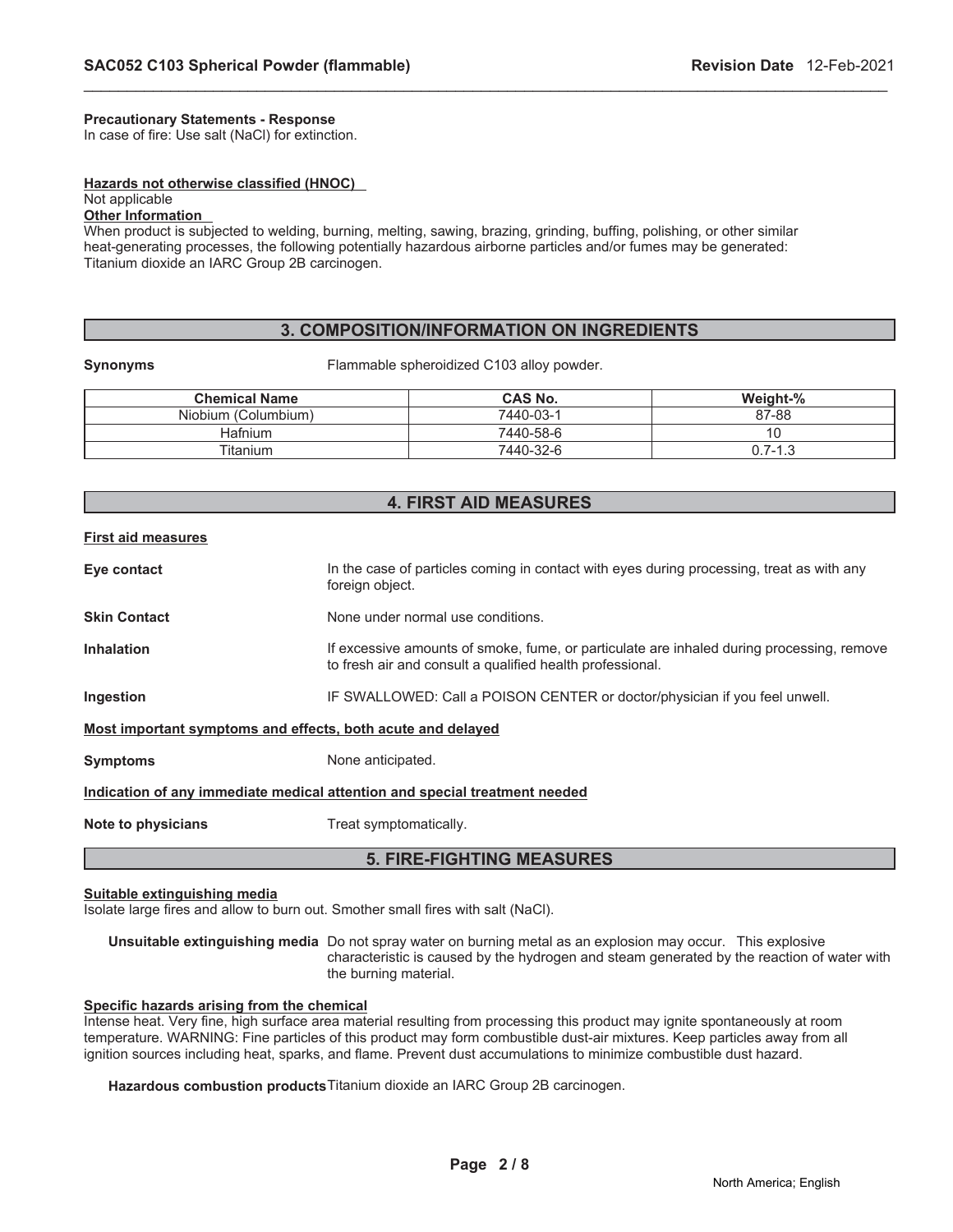#### **Precautionary Statements - Response**

In case of fire: Use salt (NaCl) for extinction.

#### **Hazards not otherwise classified (HNOC)**

# Not applicable

# **Other Information**

When product is subjected to welding, burning, melting, sawing, brazing, grinding, buffing, polishing, or other similar heat-generating processes, the following potentially hazardous airborne particles and/or fumes may be generated: Titanium dioxide an IARC Group 2B carcinogen.

# **3. COMPOSITION/INFORMATION ON INGREDIENTS**

\_\_\_\_\_\_\_\_\_\_\_\_\_\_\_\_\_\_\_\_\_\_\_\_\_\_\_\_\_\_\_\_\_\_\_\_\_\_\_\_\_\_\_\_\_\_\_\_\_\_\_\_\_\_\_\_\_\_\_\_\_\_\_\_\_\_\_\_\_\_\_\_\_\_\_\_\_\_\_\_\_\_\_\_\_\_\_\_\_\_\_\_\_

**Synonyms Flammable spheroidized C103 alloy powder.** 

| <b>Chemical Name</b> | <b>CAS No.</b> | Weight-% |
|----------------------|----------------|----------|
| Niobium (Columbium)  | 7440-03-1      | 87-88    |
| Hafnium              | 7440-58-6      |          |
| Titanium             | 7440-32-6      | 0.7-1.3  |

#### **4. FIRST AID MEASURES**

#### **First aid measures**

| Eye contact                                                                | In the case of particles coming in contact with eyes during processing, treat as with any<br>foreign object.                                           |  |  |
|----------------------------------------------------------------------------|--------------------------------------------------------------------------------------------------------------------------------------------------------|--|--|
| <b>Skin Contact</b>                                                        | None under normal use conditions.                                                                                                                      |  |  |
| <b>Inhalation</b>                                                          | If excessive amounts of smoke, fume, or particulate are inhaled during processing, remove<br>to fresh air and consult a qualified health professional. |  |  |
| Ingestion                                                                  | IF SWALLOWED: Call a POISON CENTER or doctor/physician if you feel unwell.                                                                             |  |  |
| Most important symptoms and effects, both acute and delayed                |                                                                                                                                                        |  |  |
| <b>Symptoms</b>                                                            | None anticipated.                                                                                                                                      |  |  |
| Indication of any immediate medical attention and special treatment needed |                                                                                                                                                        |  |  |
| Note to physicians                                                         | Treat symptomatically.                                                                                                                                 |  |  |
| <b>5. FIRE-FIGHTING MEASURES</b>                                           |                                                                                                                                                        |  |  |

#### **Suitable extinguishing media**

Isolate large fires and allow to burn out. Smother small fires with salt (NaCl).

**Unsuitable extinguishing media** Do not spray water on burning metal as an explosion may occur. This explosive characteristic is caused by the hydrogen and steam generated by the reaction of water with the burning material.

#### **Specific hazards arising from the chemical**

Intense heat. Very fine, high surface area material resulting from processing this product may ignite spontaneously at room temperature. WARNING: Fine particles of this product may form combustible dust-air mixtures. Keep particles away from all ignition sources including heat, sparks, and flame. Prevent dust accumulations to minimize combustible dust hazard.

**Hazardous combustion products**Titanium dioxide an IARC Group 2B carcinogen.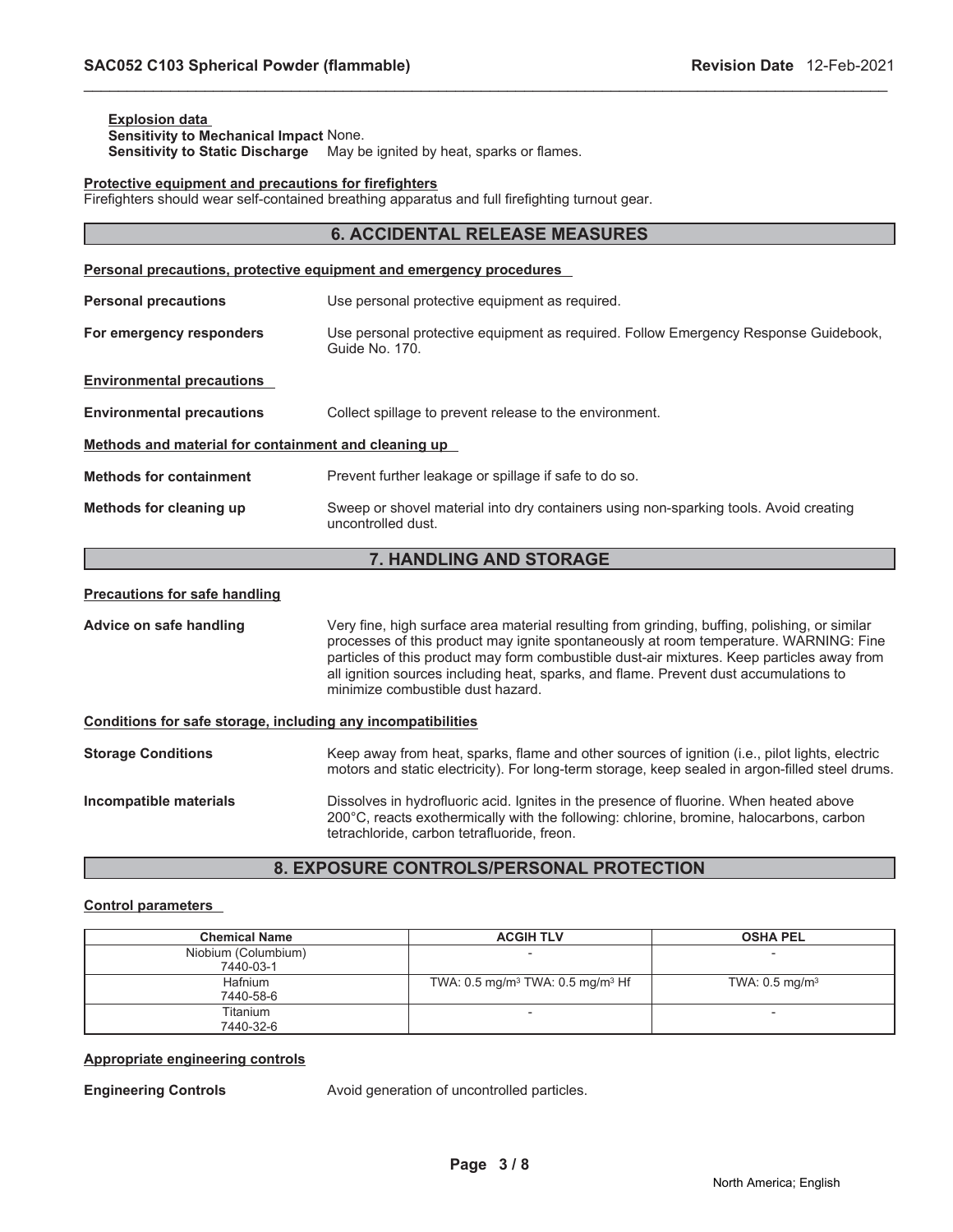#### **Explosion data Sensitivity to Mechanical Impact** None. **Sensitivity to Static Discharge** May be ignited by heat, sparks or flames.

#### **Protective equipment and precautions for firefighters**

Firefighters should wear self-contained breathing apparatus and full firefighting turnout gear.

| <b>6. ACCIDENTAL RELEASE MEASURES</b>                |                                                                                                                                                                                        |  |  |  |
|------------------------------------------------------|----------------------------------------------------------------------------------------------------------------------------------------------------------------------------------------|--|--|--|
|                                                      | <b>Personal precautions, protective equipment and emergency procedures</b>                                                                                                             |  |  |  |
| <b>Personal precautions</b>                          | Use personal protective equipment as required.                                                                                                                                         |  |  |  |
| For emergency responders                             | Use personal protective equipment as required. Follow Emergency Response Guidebook,<br>Guide No. 170.                                                                                  |  |  |  |
| <b>Environmental precautions</b>                     |                                                                                                                                                                                        |  |  |  |
| <b>Environmental precautions</b>                     | Collect spillage to prevent release to the environment.                                                                                                                                |  |  |  |
| Methods and material for containment and cleaning up |                                                                                                                                                                                        |  |  |  |
| <b>Methods for containment</b>                       | Prevent further leakage or spillage if safe to do so.                                                                                                                                  |  |  |  |
| Methods for cleaning up                              | Sweep or shovel material into dry containers using non-sparking tools. Avoid creating<br>uncontrolled dust.                                                                            |  |  |  |
| 7. HANDLING AND STORAGE                              |                                                                                                                                                                                        |  |  |  |
| <b>Precautions for safe handling</b>                 |                                                                                                                                                                                        |  |  |  |
| Advice on safe handling                              | Very fine, high surface area material resulting from grinding, buffing, polishing, or similar<br>processes of this product may ignite spontaneously at room temperature. WARNING: Fine |  |  |  |

\_\_\_\_\_\_\_\_\_\_\_\_\_\_\_\_\_\_\_\_\_\_\_\_\_\_\_\_\_\_\_\_\_\_\_\_\_\_\_\_\_\_\_\_\_\_\_\_\_\_\_\_\_\_\_\_\_\_\_\_\_\_\_\_\_\_\_\_\_\_\_\_\_\_\_\_\_\_\_\_\_\_\_\_\_\_\_\_\_\_\_\_\_

particles of this product may form combustible dust-air mixtures. Keep particles away from all ignition sources including heat, sparks, and flame. Prevent dust accumulations to minimize combustible dust hazard.

#### **Conditions for safe storage, including any incompatibilities**

| <b>Storage Conditions</b> | Keep away from heat, sparks, flame and other sources of ignition (i.e., pilot lights, electric<br>motors and static electricity). For long-term storage, keep sealed in argon-filled steel drums. |
|---------------------------|---------------------------------------------------------------------------------------------------------------------------------------------------------------------------------------------------|
| Incompatible materials    | Dissolves in hydrofluoric acid. Ignites in the presence of fluorine. When heated above                                                                                                            |

tetrachloride, carbon tetrafluoride, freon.

# **8. EXPOSURE CONTROLS/PERSONAL PROTECTION**

200°C, reacts exothermically with the following: chlorine, bromine, halocarbons, carbon

#### **Control parameters**

| <b>Chemical Name</b> | <b>ACGIH TLV</b>                                       | <b>OSHA PEL</b>           |
|----------------------|--------------------------------------------------------|---------------------------|
| Niobium (Columbium)  |                                                        |                           |
| 7440-03-1            |                                                        |                           |
| Hafnium              | TWA: $0.5 \text{ mg/m}^3$ TWA: $0.5 \text{ mg/m}^3$ Hf | TWA: $0.5 \text{ mg/m}^3$ |
| 7440-58-6            |                                                        |                           |
| Titanium             |                                                        | $\overline{\phantom{0}}$  |
| 7440-32-6            |                                                        |                           |

#### **Appropriate engineering controls**

**Engineering Controls Avoid generation of uncontrolled particles.**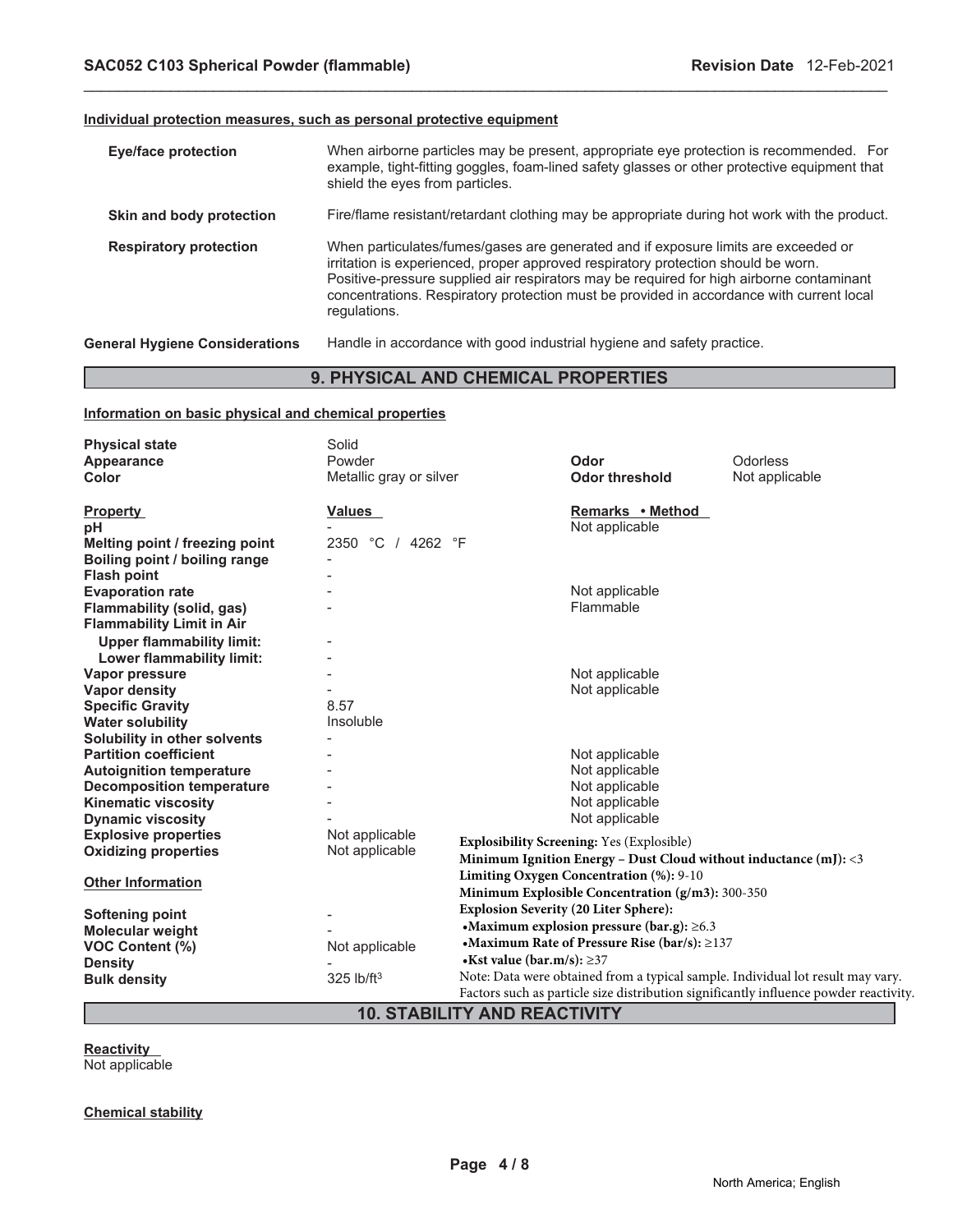#### **Individual protection measures, such as personal protective equipment**

| <b>Eye/face protection</b>            | When airborne particles may be present, appropriate eye protection is recommended. For<br>example, tight-fitting goggles, foam-lined safety glasses or other protective equipment that<br>shield the eyes from particles.                                                                                                                                                       |
|---------------------------------------|---------------------------------------------------------------------------------------------------------------------------------------------------------------------------------------------------------------------------------------------------------------------------------------------------------------------------------------------------------------------------------|
| Skin and body protection              | Fire/flame resistant/retardant clothing may be appropriate during hot work with the product.                                                                                                                                                                                                                                                                                    |
| <b>Respiratory protection</b>         | When particulates/fumes/gases are generated and if exposure limits are exceeded or<br>irritation is experienced, proper approved respiratory protection should be worn.<br>Positive-pressure supplied air respirators may be required for high airborne contaminant<br>concentrations. Respiratory protection must be provided in accordance with current local<br>regulations. |
| <b>General Hygiene Considerations</b> | Handle in accordance with good industrial hygiene and safety practice.                                                                                                                                                                                                                                                                                                          |

\_\_\_\_\_\_\_\_\_\_\_\_\_\_\_\_\_\_\_\_\_\_\_\_\_\_\_\_\_\_\_\_\_\_\_\_\_\_\_\_\_\_\_\_\_\_\_\_\_\_\_\_\_\_\_\_\_\_\_\_\_\_\_\_\_\_\_\_\_\_\_\_\_\_\_\_\_\_\_\_\_\_\_\_\_\_\_\_\_\_\_\_\_

# **9. PHYSICAL AND CHEMICAL PROPERTIES**

# **Information on basic physical and chemical properties**

| <b>Physical state</b><br>Appearance | Solid<br>Powder         |                           | Odor                                                                | Odorless                                                                              |
|-------------------------------------|-------------------------|---------------------------|---------------------------------------------------------------------|---------------------------------------------------------------------------------------|
| Color                               | Metallic gray or silver |                           | <b>Odor threshold</b>                                               | Not applicable                                                                        |
| <b>Property</b>                     | Values                  |                           | Remarks • Method                                                    |                                                                                       |
| рH                                  |                         |                           | Not applicable                                                      |                                                                                       |
| Melting point / freezing point      | 2350 °C / 4262 °F       |                           |                                                                     |                                                                                       |
| Boiling point / boiling range       |                         |                           |                                                                     |                                                                                       |
| <b>Flash point</b>                  |                         |                           |                                                                     |                                                                                       |
| <b>Evaporation rate</b>             |                         |                           | Not applicable                                                      |                                                                                       |
| Flammability (solid, gas)           |                         |                           | Flammable                                                           |                                                                                       |
| <b>Flammability Limit in Air</b>    |                         |                           |                                                                     |                                                                                       |
| <b>Upper flammability limit:</b>    |                         |                           |                                                                     |                                                                                       |
| Lower flammability limit:           |                         |                           |                                                                     |                                                                                       |
| Vapor pressure                      |                         |                           | Not applicable                                                      |                                                                                       |
| <b>Vapor density</b>                |                         |                           | Not applicable                                                      |                                                                                       |
| <b>Specific Gravity</b>             | 8.57                    |                           |                                                                     |                                                                                       |
| <b>Water solubility</b>             | Insoluble               |                           |                                                                     |                                                                                       |
| Solubility in other solvents        |                         |                           |                                                                     |                                                                                       |
| <b>Partition coefficient</b>        |                         |                           | Not applicable                                                      |                                                                                       |
| <b>Autoignition temperature</b>     |                         |                           | Not applicable                                                      |                                                                                       |
| <b>Decomposition temperature</b>    |                         |                           | Not applicable                                                      |                                                                                       |
| <b>Kinematic viscosity</b>          |                         |                           | Not applicable                                                      |                                                                                       |
| <b>Dynamic viscosity</b>            |                         |                           | Not applicable                                                      |                                                                                       |
| <b>Explosive properties</b>         | Not applicable          |                           | <b>Explosibility Screening: Yes (Explosible)</b>                    |                                                                                       |
| <b>Oxidizing properties</b>         | Not applicable          |                           | Minimum Ignition Energy - Dust Cloud without inductance $(m!)$ : <3 |                                                                                       |
|                                     |                         |                           | Limiting Oxygen Concentration (%): 9-10                             |                                                                                       |
| <b>Other Information</b>            |                         |                           | Minimum Explosible Concentration (g/m3): 300-350                    |                                                                                       |
|                                     |                         |                           |                                                                     |                                                                                       |
| Softening point                     |                         |                           | <b>Explosion Severity (20 Liter Sphere):</b>                        |                                                                                       |
| <b>Molecular weight</b>             |                         |                           | •Maximum explosion pressure (bar.g): $\geq 6.3$                     |                                                                                       |
| <b>VOC Content (%)</b>              | Not applicable          |                           | • Maximum Rate of Pressure Rise (bar/s): $\geq$ 137                 |                                                                                       |
| <b>Density</b>                      |                         | •Kst value (bar.m/s): ≥37 |                                                                     |                                                                                       |
| <b>Bulk density</b>                 | 325 lb/ft <sup>3</sup>  |                           |                                                                     | Note: Data were obtained from a typical sample. Individual lot result may vary.       |
|                                     |                         |                           |                                                                     | Factors such as particle size distribution significantly influence powder reactivity. |

# **10. STABILITY AND REACTIVITY**

**Reactivity**

Not applicable

# **Chemical stability**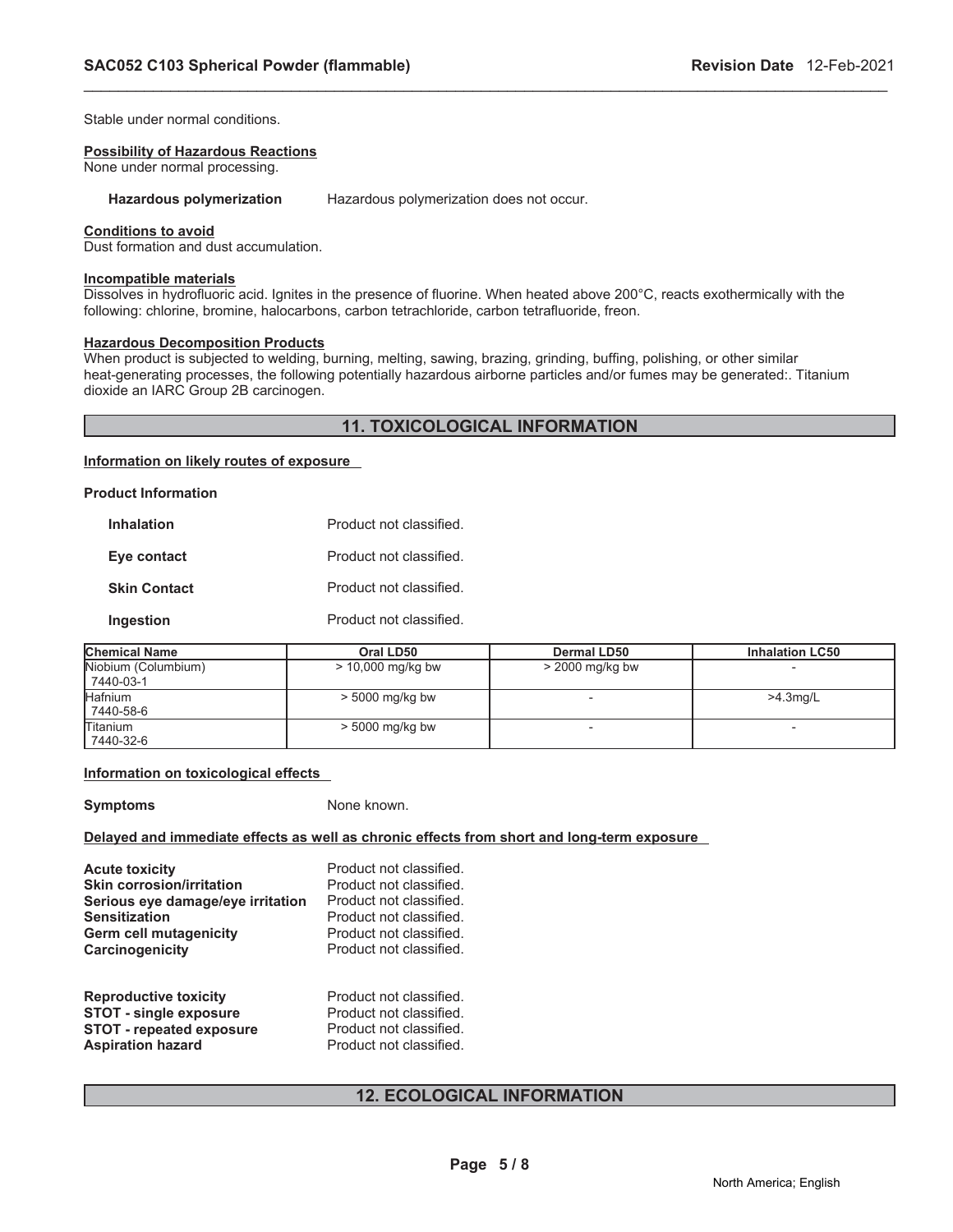Stable under normal conditions.

#### **Possibility of Hazardous Reactions**

None under normal processing.

**Hazardous polymerization** Hazardous polymerization does not occur.

#### **Conditions to avoid**

Dust formation and dust accumulation.

#### **Incompatible materials**

Dissolves in hydrofluoric acid. Ignites in the presence of fluorine. When heated above 200°C, reacts exothermically with the following: chlorine, bromine, halocarbons, carbon tetrachloride, carbon tetrafluoride, freon.

\_\_\_\_\_\_\_\_\_\_\_\_\_\_\_\_\_\_\_\_\_\_\_\_\_\_\_\_\_\_\_\_\_\_\_\_\_\_\_\_\_\_\_\_\_\_\_\_\_\_\_\_\_\_\_\_\_\_\_\_\_\_\_\_\_\_\_\_\_\_\_\_\_\_\_\_\_\_\_\_\_\_\_\_\_\_\_\_\_\_\_\_\_

#### **Hazardous Decomposition Products**

When product is subjected to welding, burning, melting, sawing, brazing, grinding, buffing, polishing, or other similar heat-generating processes, the following potentially hazardous airborne particles and/or fumes may be generated:. Titanium dioxide an IARC Group 2B carcinogen.

#### **11. TOXICOLOGICAL INFORMATION**

#### **Information on likely routes of exposure**

| <b>Product Information</b> |                        |
|----------------------------|------------------------|
| <b>Inhalation</b>          | Product not classified |
| Eye contact                | Product not classified |
| <b>Skin Contact</b>        | Product not classified |
| Ingestion                  | Product not classified |

| <b>Chemical Name</b>             | Oral LD50           | Dermal LD50       | <b>Inhalation LC50</b> |
|----------------------------------|---------------------|-------------------|------------------------|
| Niobium (Columbium)<br>7440-03-1 | $>$ 10,000 mg/kg bw | $>$ 2000 mg/kg bw |                        |
| <b>Hafnium</b><br>7440-58-6      | $> 5000$ mg/kg bw   |                   | $>4.3$ mg/L            |
| <b>Titanium</b><br>7440-32-6     | $> 5000$ mg/kg bw   |                   |                        |

#### **Information on toxicological effects**

**Symptoms** None known.

#### **Delayed and immediate effects as well as chronic effects from short and long-term exposure**

| <b>Acute toxicity</b>             | Product not classified. |
|-----------------------------------|-------------------------|
| <b>Skin corrosion/irritation</b>  | Product not classified. |
| Serious eye damage/eye irritation | Product not classified. |
| <b>Sensitization</b>              | Product not classified. |
| <b>Germ cell mutagenicity</b>     | Product not classified. |
| Carcinogenicity                   | Product not classified. |
| <b>Reproductive toxicity</b>      | Product not classified. |
| <b>STOT - single exposure</b>     | Product not classified. |
| <b>STOT - repeated exposure</b>   | Product not classified. |
| <b>Aspiration hazard</b>          | Product not classified. |

# **12. ECOLOGICAL INFORMATION**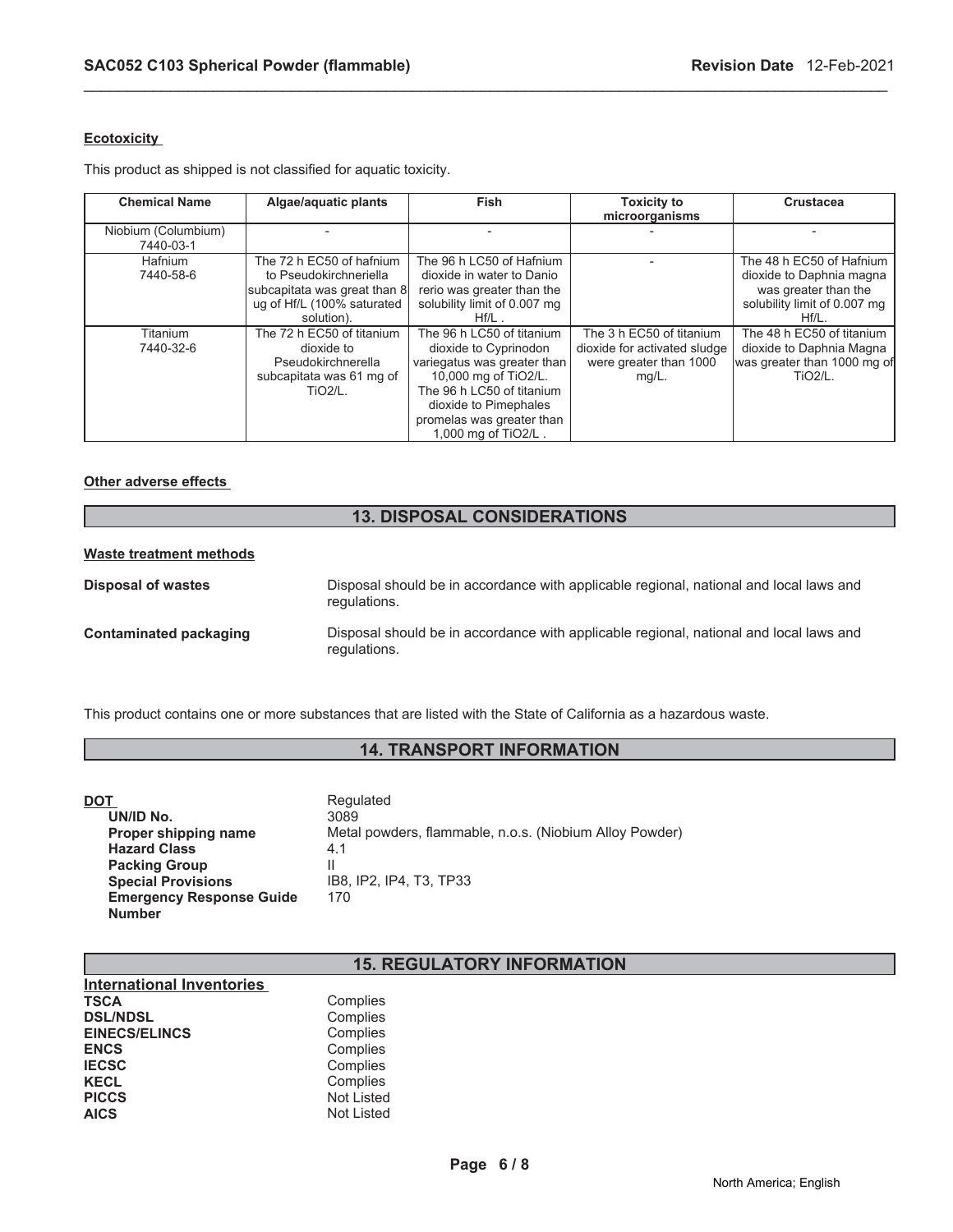### **Ecotoxicity**

This product as shipped is not classified for aquatic toxicity.

| <b>Chemical Name</b>             | Algae/aquatic plants                                                                                                           | <b>Fish</b>                                                                                                                                                                                                         | <b>Toxicity to</b><br>microorganisms                                                           | Crustacea                                                                                                                |
|----------------------------------|--------------------------------------------------------------------------------------------------------------------------------|---------------------------------------------------------------------------------------------------------------------------------------------------------------------------------------------------------------------|------------------------------------------------------------------------------------------------|--------------------------------------------------------------------------------------------------------------------------|
| Niobium (Columbium)<br>7440-03-1 |                                                                                                                                |                                                                                                                                                                                                                     |                                                                                                |                                                                                                                          |
| <b>Hafnium</b><br>7440-58-6      | The 72 h EC50 of hafnium<br>to Pseudokirchneriella<br>subcapitata was great than 8<br>ug of Hf/L (100% saturated<br>solution). | The 96 h LC50 of Hafnium<br>dioxide in water to Danio<br>rerio was greater than the<br>solubility limit of 0.007 mg<br>$Hf/L$ .                                                                                     |                                                                                                | The 48 h EC50 of Hafnium<br>dioxide to Daphnia magna<br>was greater than the<br>solubility limit of 0.007 mg<br>$Hf/L$ . |
| Titanium<br>7440-32-6            | The 72 h EC50 of titanium<br>dioxide to<br>Pseudokirchnerella<br>subcapitata was 61 mg of<br><b>TiO2/L.</b>                    | The 96 h LC50 of titanium<br>dioxide to Cyprinodon<br>variegatus was greater than<br>10,000 mg of TiO2/L.<br>The 96 h LC50 of titanium<br>dioxide to Pimephales<br>promelas was greater than<br>1,000 mg of TiO2/L. | The 3 h EC50 of titanium<br>dioxide for activated sludge<br>were greater than 1000<br>$mg/L$ . | The 48 h EC50 of titanium<br>dioxide to Daphnia Magna<br>lwas greater than 1000 mg ofl<br>TiO <sub>2/L</sub>             |

\_\_\_\_\_\_\_\_\_\_\_\_\_\_\_\_\_\_\_\_\_\_\_\_\_\_\_\_\_\_\_\_\_\_\_\_\_\_\_\_\_\_\_\_\_\_\_\_\_\_\_\_\_\_\_\_\_\_\_\_\_\_\_\_\_\_\_\_\_\_\_\_\_\_\_\_\_\_\_\_\_\_\_\_\_\_\_\_\_\_\_\_\_

#### **Other adverse effects**

# **13. DISPOSAL CONSIDERATIONS**

#### **Waste treatment methods**

| Disposal of wastes     | Disposal should be in accordance with applicable regional, national and local laws and<br>regulations. |
|------------------------|--------------------------------------------------------------------------------------------------------|
| Contaminated packaging | Disposal should be in accordance with applicable regional, national and local laws and<br>regulations. |

This product contains one or more substances that are listed with the State of California as a hazardous waste.

# **14. TRANSPORT INFORMATION**

| DOT                             | Regulated                                               |
|---------------------------------|---------------------------------------------------------|
| UN/ID No.                       | 3089                                                    |
| Proper shipping name            | Metal powders, flammable, n.o.s. (Niobium Alloy Powder) |
| <b>Hazard Class</b>             | 4.1                                                     |
| <b>Packing Group</b>            |                                                         |
| <b>Special Provisions</b>       | IB8. IP2. IP4. T3. TP33                                 |
| <b>Emergency Response Guide</b> | 170                                                     |
| <b>Number</b>                   |                                                         |

# **15. REGULATORY INFORMATION**

| <b>International Inventories</b> |            |
|----------------------------------|------------|
| <b>TSCA</b>                      | Complies   |
| <b>DSL/NDSL</b>                  | Complies   |
| <b>EINECS/ELINCS</b>             | Complies   |
| <b>ENCS</b>                      | Complies   |
| <b>IECSC</b>                     | Complies   |
| <b>KECL</b>                      | Complies   |
| <b>PICCS</b>                     | Not Listed |
| <b>AICS</b>                      | Not Listed |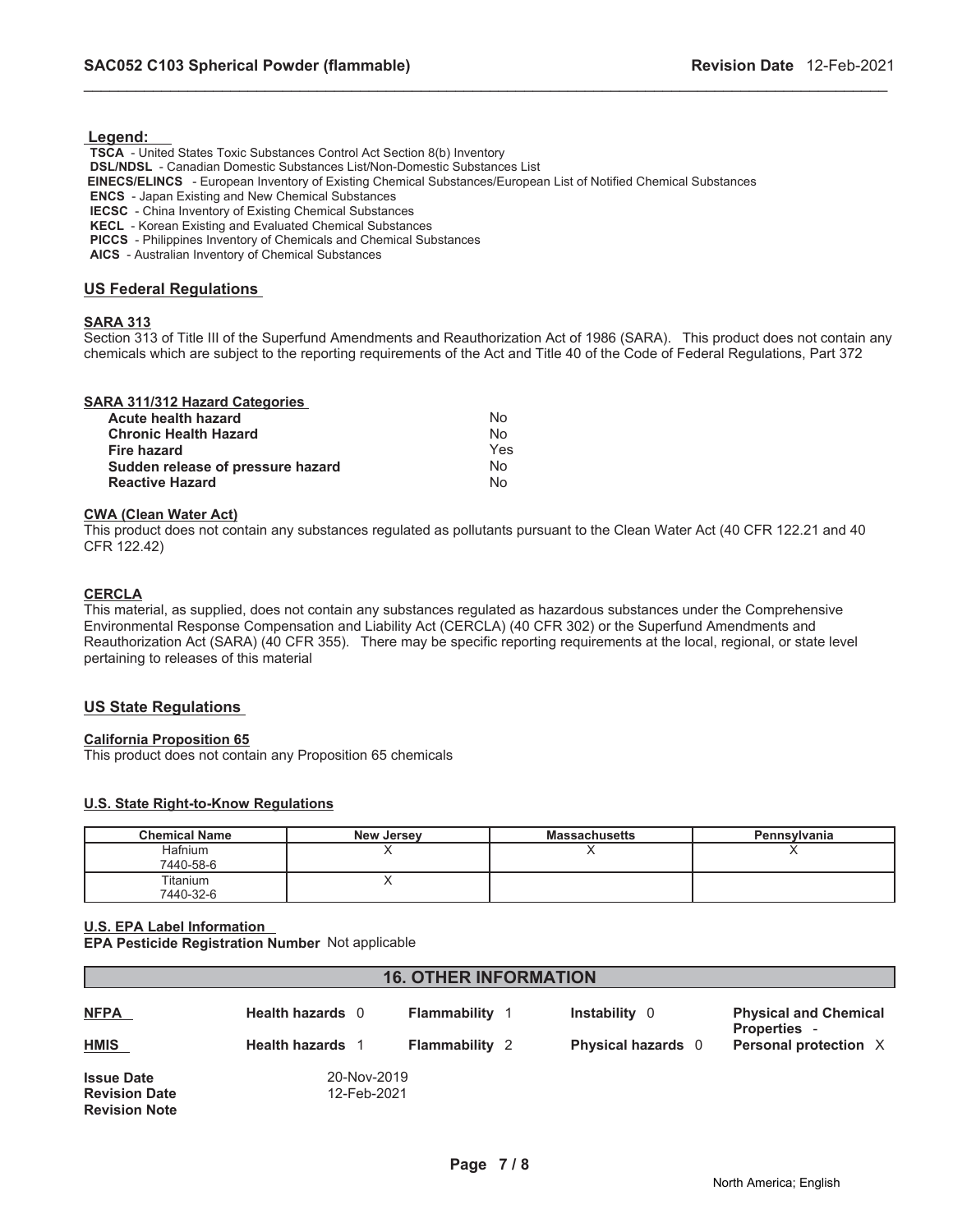#### **Legend:**

**TSCA** - United States Toxic Substances Control Act Section 8(b) Inventory **DSL/NDSL** - Canadian Domestic Substances List/Non-Domestic Substances List  **EINECS/ELINCS** - European Inventory of Existing Chemical Substances/European List of Notified Chemical Substances **ENCS** - Japan Existing and New Chemical Substances **IECSC** - China Inventory of Existing Chemical Substances **KECL** - Korean Existing and Evaluated Chemical Substances **PICCS** - Philippines Inventory of Chemicals and Chemical Substances **AICS** - Australian Inventory of Chemical Substances

# **US Federal Regulations**

#### **SARA 313**

Section 313 of Title III of the Superfund Amendments and Reauthorization Act of 1986 (SARA). This product does not contain any chemicals which are subject to the reporting requirements of the Act and Title 40 of the Code of Federal Regulations, Part 372

\_\_\_\_\_\_\_\_\_\_\_\_\_\_\_\_\_\_\_\_\_\_\_\_\_\_\_\_\_\_\_\_\_\_\_\_\_\_\_\_\_\_\_\_\_\_\_\_\_\_\_\_\_\_\_\_\_\_\_\_\_\_\_\_\_\_\_\_\_\_\_\_\_\_\_\_\_\_\_\_\_\_\_\_\_\_\_\_\_\_\_\_\_

#### **SARA 311/312 Hazard Categories**

| Acute health hazard               | Nο  |
|-----------------------------------|-----|
| <b>Chronic Health Hazard</b>      | No  |
| <b>Fire hazard</b>                | Yes |
| Sudden release of pressure hazard | Nο  |
| <b>Reactive Hazard</b>            | N٥  |

#### **CWA (Clean Water Act)**

This product does not contain any substances regulated as pollutants pursuant to the Clean Water Act (40 CFR 122.21 and 40 CFR 122.42)

#### **CERCLA**

This material, as supplied, does not contain any substances regulated as hazardous substances under the Comprehensive Environmental Response Compensation and Liability Act (CERCLA) (40 CFR 302) or the Superfund Amendments and Reauthorization Act (SARA) (40 CFR 355). There may be specific reporting requirements at the local, regional, or state level pertaining to releases of this material

#### **US State Regulations**

#### **California Proposition 65**

This product does not contain any Proposition 65 chemicals

#### **U.S. State Right-to-Know Regulations**

| <b>Chemical Name</b> | <b>New Jersey</b> | <b>Massachusetts</b> | <b>Pennsylvania</b> |
|----------------------|-------------------|----------------------|---------------------|
| Hafnium              |                   |                      |                     |
| 7440-58-6            |                   |                      |                     |
| Titanium             |                   |                      |                     |
| 7440-32-6            |                   |                      |                     |

#### **U.S. EPA Label Information EPA Pesticide Registration Number** Not applicable

| <b>16. OTHER INFORMATION</b>                                      |                            |                       |                    |                                                     |  |  |  |
|-------------------------------------------------------------------|----------------------------|-----------------------|--------------------|-----------------------------------------------------|--|--|--|
| <b>NFPA</b>                                                       | <b>Health hazards</b> 0    | Flammability          | Instability 0      | <b>Physical and Chemical</b><br><b>Properties -</b> |  |  |  |
| <b>HMIS</b>                                                       | <b>Health hazards</b> 1    | <b>Flammability 2</b> | Physical hazards 0 | Personal protection X                               |  |  |  |
| <b>Issue Date</b><br><b>Revision Date</b><br><b>Revision Note</b> | 20-Nov-2019<br>12-Feb-2021 |                       |                    |                                                     |  |  |  |